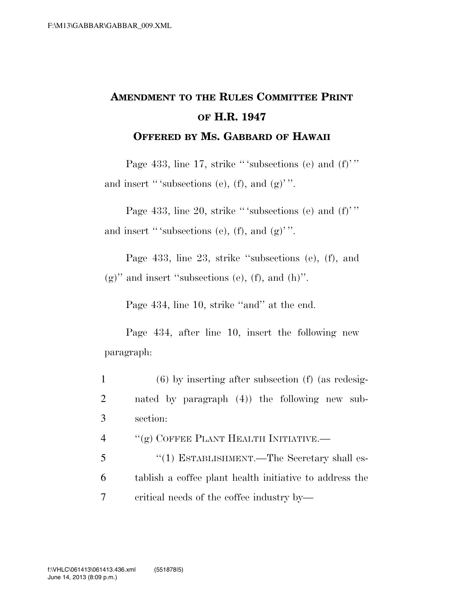## **AMENDMENT TO THE RULES COMMITTEE PRINT OF H.R. 1947 OFFERED BY MS. GABBARD OF HAWAII**

Page 433, line 17, strike "'subsections (e) and (f)'" and insert "' subsections (e), (f), and  $(g)$ ".

Page 433, line 20, strike "'subsections (e) and  $(f)$ " and insert " 'subsections (e), (f), and  $(g)$ ".

Page 433, line 23, strike ''subsections (e), (f), and  $(g)$ " and insert "subsections (e), (f), and (h)".

Page 434, line 10, strike ''and'' at the end.

Page 434, after line 10, insert the following new paragraph:

- 1 (6) by inserting after subsection (f) (as redesig-2 nated by paragraph (4)) the following new sub-3 section:
- 4 ''(g) COFFEE PLANT HEALTH INITIATIVE.—
- 5 ''(1) ESTABLISHMENT.—The Secretary shall es-6 tablish a coffee plant health initiative to address the 7 critical needs of the coffee industry by—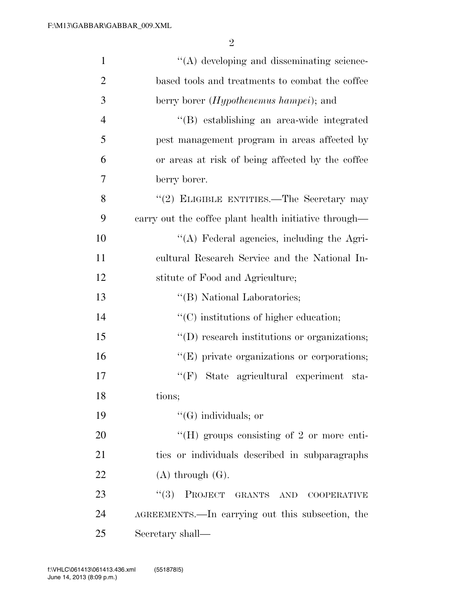2

| $\mathbf{1}$   | $\lq\lq$ developing and disseminating science-        |
|----------------|-------------------------------------------------------|
| $\overline{2}$ | based tools and treatments to combat the coffee       |
| 3              | berry borer ( <i>Hypothenemus hampei</i> ); and       |
| $\overline{4}$ | "(B) establishing an area-wide integrated             |
| 5              | pest management program in areas affected by          |
| 6              | or areas at risk of being affected by the coffee      |
| 7              | berry borer.                                          |
| 8              | "(2) ELIGIBLE ENTITIES.—The Secretary may             |
| 9              | carry out the coffee plant health initiative through— |
| 10             | "(A) Federal agencies, including the Agri-            |
| 11             | cultural Research Service and the National In-        |
| 12             | stitute of Food and Agriculture;                      |
| 13             | "(B) National Laboratories;                           |
| 14             | $\lq\lq$ institutions of higher education;            |
| 15             | "(D) research institutions or organizations;          |
| 16             | "(E) private organizations or corporations;           |
| 17             | $``$ (F)<br>State agricultural experiment sta-        |
| 18             | tions;                                                |
| 19             | $\lq\lq(G)$ individuals; or                           |
| 20             | "(H) groups consisting of 2 or more enti-             |
| 21             | ties or individuals described in subparagraphs        |
| 22             | $(A)$ through $(G)$ .                                 |
| 23             | (3)<br>PROJECT GRANTS AND COOPERATIVE                 |
| 24             | AGREEMENTS.—In carrying out this subsection, the      |
| 25             | Secretary shall—                                      |